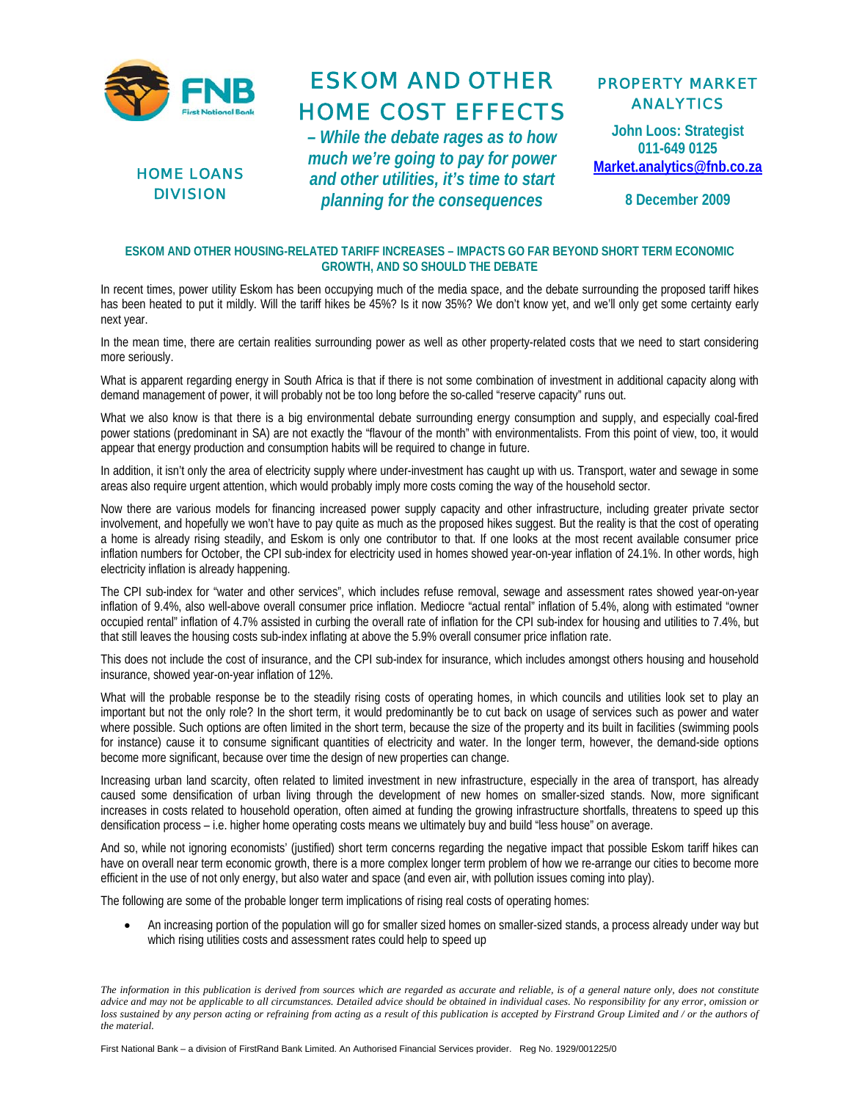



## ESKOM AND OTHER HOME COST EFFECTS

*– While the debate rages as to how much we're going to pay for power and other utilities, it's time to start planning for the consequences*

## PROPERTY MARKET ANALYTICS

**John Loos: Strategist 011-649 0125 Market.analytics@fnb.co.za**

**8 December 2009** 

## **ESKOM AND OTHER HOUSING-RELATED TARIFF INCREASES – IMPACTS GO FAR BEYOND SHORT TERM ECONOMIC GROWTH, AND SO SHOULD THE DEBATE**

In recent times, power utility Eskom has been occupying much of the media space, and the debate surrounding the proposed tariff hikes has been heated to put it mildly. Will the tariff hikes be 45%? Is it now 35%? We don't know yet, and we'll only get some certainty early next year.

In the mean time, there are certain realities surrounding power as well as other property-related costs that we need to start considering more seriously.

What is apparent regarding energy in South Africa is that if there is not some combination of investment in additional capacity along with demand management of power, it will probably not be too long before the so-called "reserve capacity" runs out.

What we also know is that there is a big environmental debate surrounding energy consumption and supply, and especially coal-fired power stations (predominant in SA) are not exactly the "flavour of the month" with environmentalists. From this point of view, too, it would appear that energy production and consumption habits will be required to change in future.

In addition, it isn't only the area of electricity supply where under-investment has caught up with us. Transport, water and sewage in some areas also require urgent attention, which would probably imply more costs coming the way of the household sector.

Now there are various models for financing increased power supply capacity and other infrastructure, including greater private sector involvement, and hopefully we won't have to pay quite as much as the proposed hikes suggest. But the reality is that the cost of operating a home is already rising steadily, and Eskom is only one contributor to that. If one looks at the most recent available consumer price inflation numbers for October, the CPI sub-index for electricity used in homes showed year-on-year inflation of 24.1%. In other words, high electricity inflation is already happening.

The CPI sub-index for "water and other services", which includes refuse removal, sewage and assessment rates showed year-on-year inflation of 9.4%, also well-above overall consumer price inflation. Mediocre "actual rental" inflation of 5.4%, along with estimated "owner occupied rental" inflation of 4.7% assisted in curbing the overall rate of inflation for the CPI sub-index for housing and utilities to 7.4%, but that still leaves the housing costs sub-index inflating at above the 5.9% overall consumer price inflation rate.

This does not include the cost of insurance, and the CPI sub-index for insurance, which includes amongst others housing and household insurance, showed year-on-year inflation of 12%.

What will the probable response be to the steadily rising costs of operating homes, in which councils and utilities look set to play an important but not the only role? In the short term, it would predominantly be to cut back on usage of services such as power and water where possible. Such options are often limited in the short term, because the size of the property and its built in facilities (swimming pools for instance) cause it to consume significant quantities of electricity and water. In the longer term, however, the demand-side options become more significant, because over time the design of new properties can change.

Increasing urban land scarcity, often related to limited investment in new infrastructure, especially in the area of transport, has already caused some densification of urban living through the development of new homes on smaller-sized stands. Now, more significant increases in costs related to household operation, often aimed at funding the growing infrastructure shortfalls, threatens to speed up this densification process – i.e. higher home operating costs means we ultimately buy and build "less house" on average.

And so, while not ignoring economists' (justified) short term concerns regarding the negative impact that possible Eskom tariff hikes can have on overall near term economic growth, there is a more complex longer term problem of how we re-arrange our cities to become more efficient in the use of not only energy, but also water and space (and even air, with pollution issues coming into play).

The following are some of the probable longer term implications of rising real costs of operating homes:

• An increasing portion of the population will go for smaller sized homes on smaller-sized stands, a process already under way but which rising utilities costs and assessment rates could help to speed up

*The information in this publication is derived from sources which are regarded as accurate and reliable, is of a general nature only, does not constitute advice and may not be applicable to all circumstances. Detailed advice should be obtained in individual cases. No responsibility for any error, omission or*  loss sustained by any person acting or refraining from acting as a result of this publication is accepted by Firstrand Group Limited and / or the authors of *the material.*